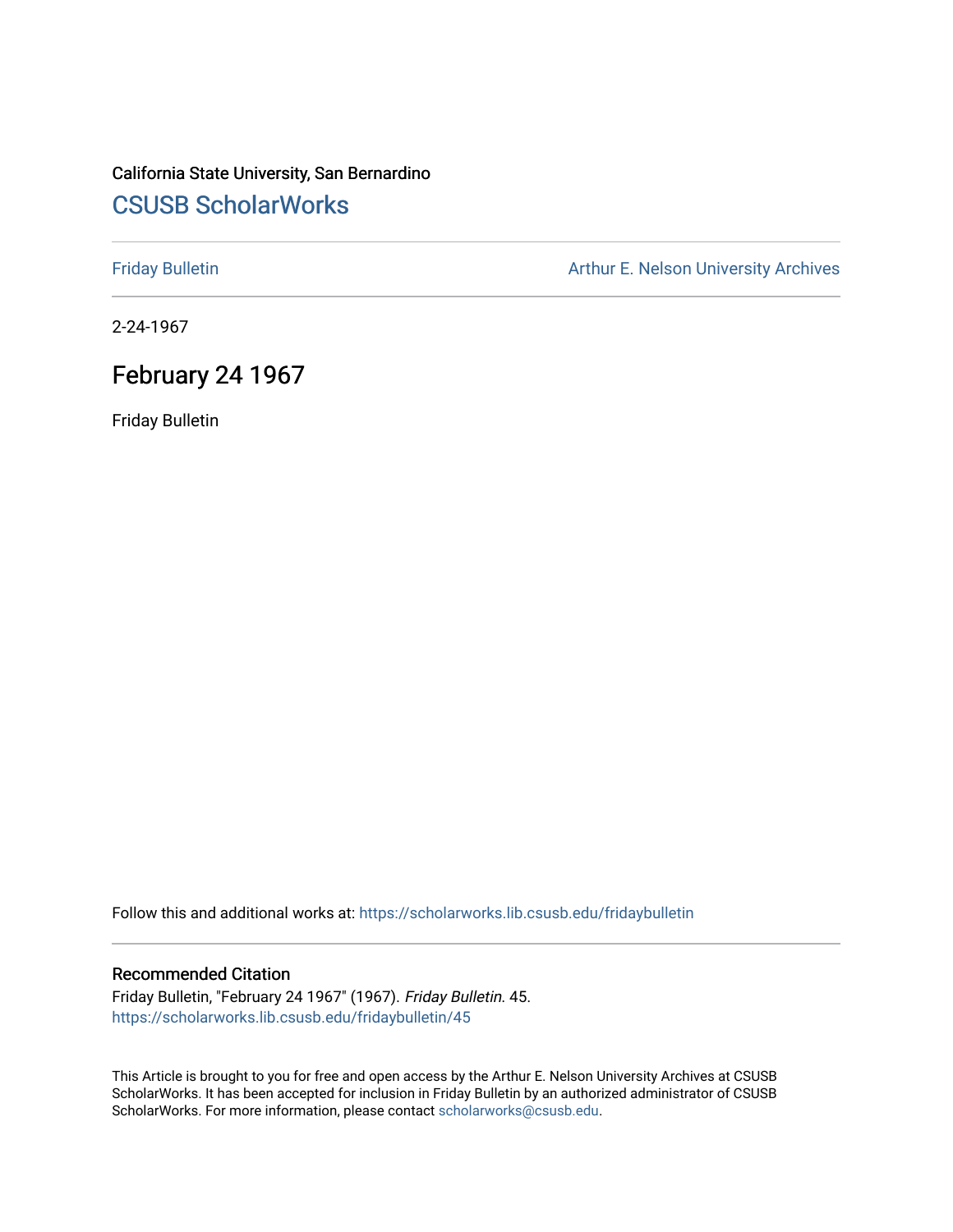# California State University, San Bernardino [CSUSB ScholarWorks](https://scholarworks.lib.csusb.edu/)

[Friday Bulletin](https://scholarworks.lib.csusb.edu/fridaybulletin) **Arthur E. Nelson University Archives** Arthur E. Nelson University Archives

2-24-1967

# February 24 1967

Friday Bulletin

Follow this and additional works at: [https://scholarworks.lib.csusb.edu/fridaybulletin](https://scholarworks.lib.csusb.edu/fridaybulletin?utm_source=scholarworks.lib.csusb.edu%2Ffridaybulletin%2F45&utm_medium=PDF&utm_campaign=PDFCoverPages)

## Recommended Citation

Friday Bulletin, "February 24 1967" (1967). Friday Bulletin. 45. [https://scholarworks.lib.csusb.edu/fridaybulletin/45](https://scholarworks.lib.csusb.edu/fridaybulletin/45?utm_source=scholarworks.lib.csusb.edu%2Ffridaybulletin%2F45&utm_medium=PDF&utm_campaign=PDFCoverPages) 

This Article is brought to you for free and open access by the Arthur E. Nelson University Archives at CSUSB ScholarWorks. It has been accepted for inclusion in Friday Bulletin by an authorized administrator of CSUSB ScholarWorks. For more information, please contact [scholarworks@csusb.edu.](mailto:scholarworks@csusb.edu)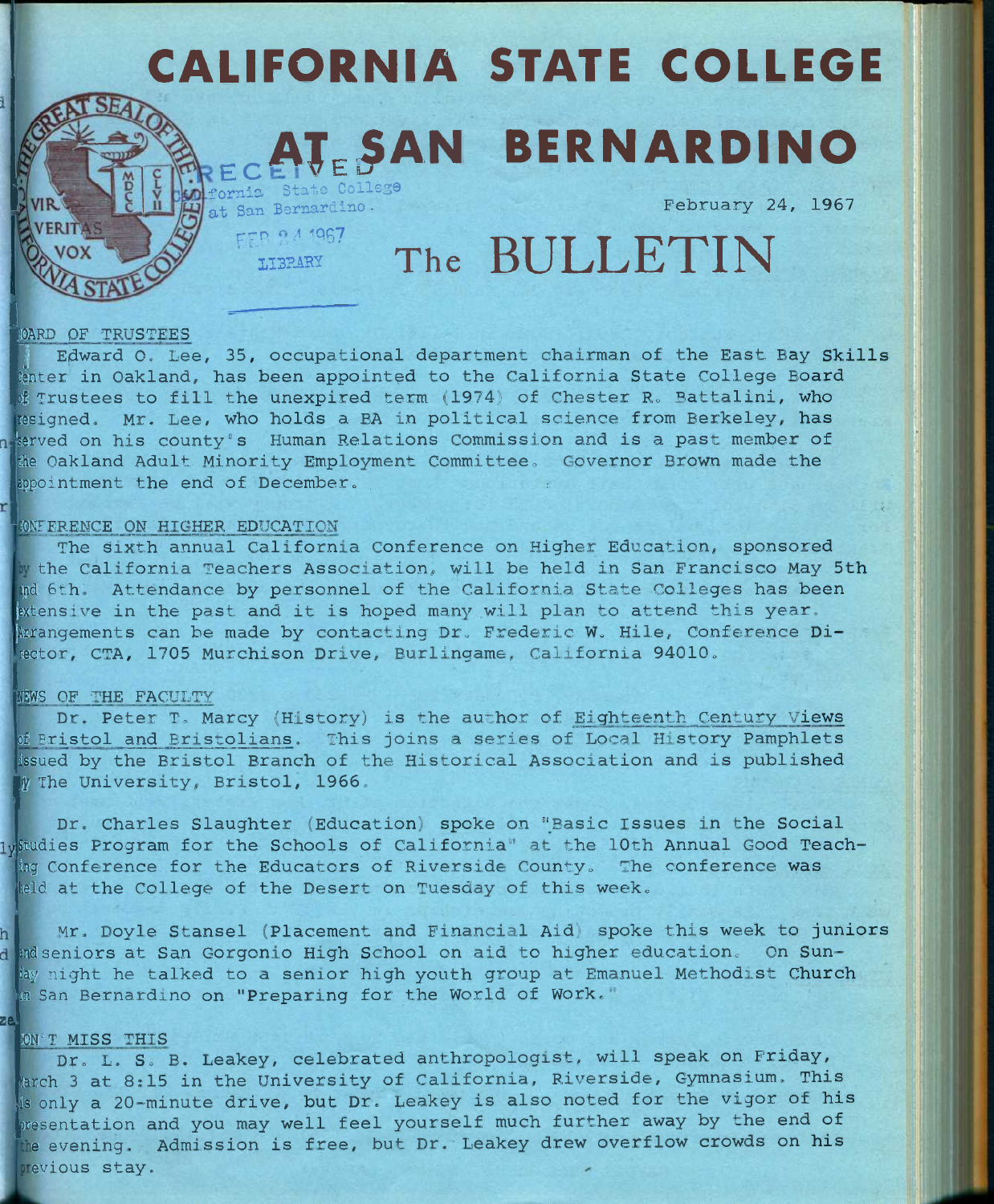# CALIFORNIA STATE COLLEGE  $\mathbf{J}_{\texttt{E}}$ SAN BERNARDINO ornia State College

February 24, 1967

**E BA 1967** The BULLETIN

### **iOARD OF TRUSTEES**

Edward O. Lee, 35, occupational department chairman of the East Bay Skills cinter in Oakland, has been appointed to the California State College Board of Trustees to fill the unexpired term (1974) of Chester R. Battalini, who resigned. Mr. Lee, who holds a BA in political science from Berkeley, has 'served on his county's Human Relations Commission and is a past member of the Oakland Adult Minority Employment Committee. Governor Brown made the appointment the end of December.

#### INFERENCE ON HIGHER EDUCATION

**at San Bernardino -** FER 0 4 1967

The sixth annual California Conference on Higher Education, sponsored the California Teachers Association, will be held in San Francisco May 5th ipd 5th. Attendance by personnel of the California State Colleges has been extensive in the past and it is hoped many will plan to attend this year. [Arrangements can be made by contacting Dr. Frederic W. Hile, Conference Director, CTA, 1705 Murchison Drive, Burlingame, California 94010.

#### NEWS OF THE FACULTY

Dr. Peter T, Marcy (History) is the author of Eighteenth Century Views of Bristol and Bristolians. This joins a series of Local History Pamphlets issued by the Bristol Branch of the Historical Association and is published w The University, Bristol, 1966.

*lY\*  studies Program for the Schools of California" at the 10th Annual Good Teach-Dr. Charles Slaughter (Education) spoke on "Basic Issues in the Social ing Conference for the Educators of Riverside County. The conference was leld at the College of the Desert on Tuesday of this week.

Mr. Doyle Stansel (Placement and Financial Aid) spoke this week to juniors d and seniors at San Gorgonio High School on aid to higher education. On Sunday night he talked to a senior high youth group at Emanuel Methodist Church in San Bernardino on "Preparing for the World of Work.

#### lON'T MISS THIS

*ze.* 

Dr. L. S. B. Leakey, celebrated anthropologist, will speak on Friday, March 3 at 8:15 in the University of California, Riverside, Gymnasium. This is only a 20-minute drive, but Dr. Leakey is also noted for the vigor of his presentation and you may well feel yourself much further away by the end of the evening. Admission is free, but Dr. Leakey drew overflow crowds on his previous stay.